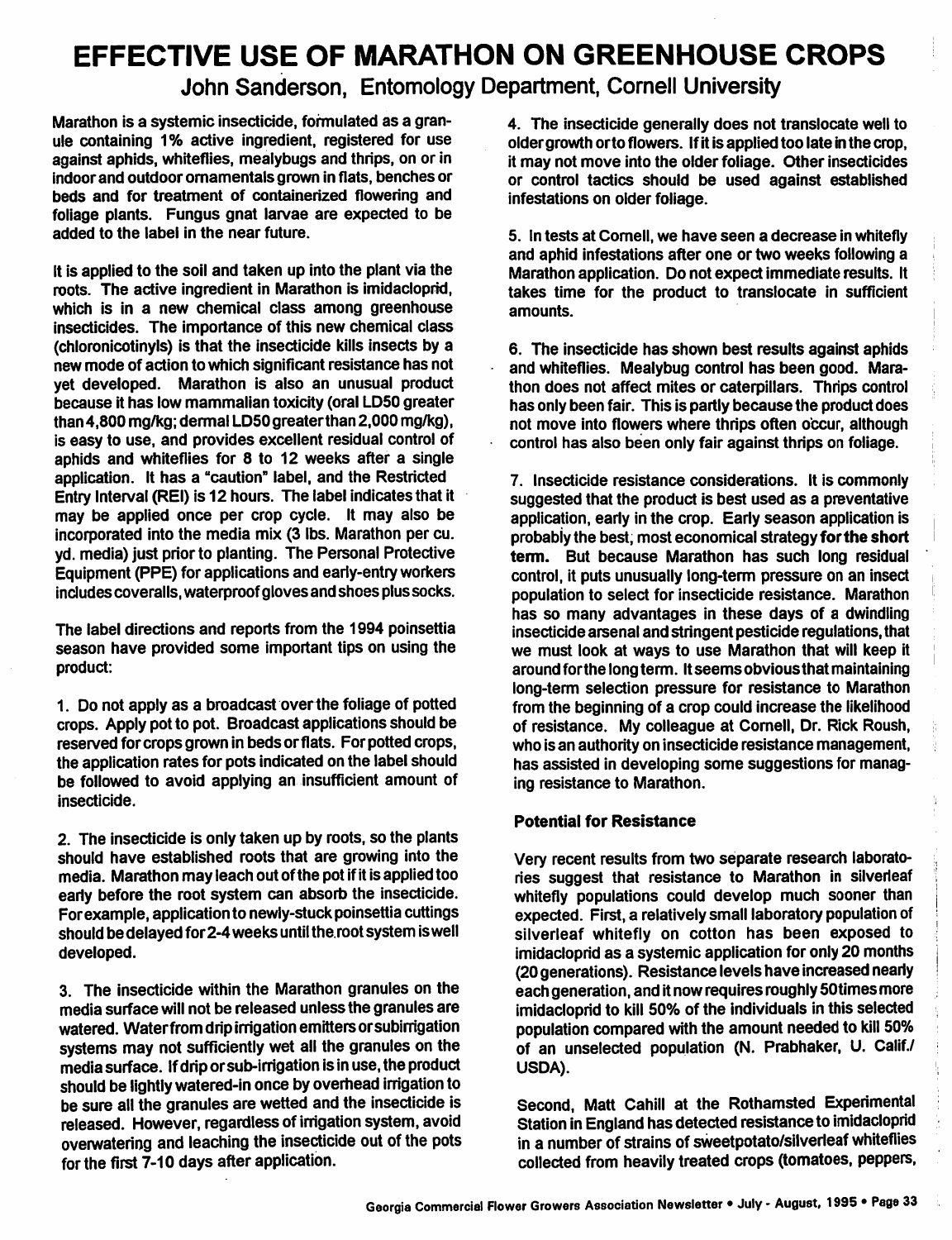# *EFFECTIVE USE OF MARATHON ON GREENHOUSE CROPS*

*John Sanderson, Entomology Department, Cornell University*

Marathon is a systemic insecticide, formulated as a gran ule containing 1% active ingredient, registered for use against aphids, whiteflies, mealybugs and thrips, on or in indoor and outdoor ornamentals grown in flats, benches or beds and for treatment of containerized flowering and foliage plants. Fungus gnat larvae are expected to be added to the label in the near future.

It is applied to the soil and taken up into the plant via the roots. The active ingredient in Marathon is imidacloprid, which is in a new chemical class among greenhouse insecticides. The importance of this new chemical class (chloronicotinyls) is that the insecticide kills insects by a new mode of action to which significant resistance has not yet developed. Marathon is also an unusual product because it has low mammalian toxicity (oral LD50 greater than 4,800 mg/kg; dermal LD50 greaterthan 2,000 mg/kg), is easy to use, and provides excellent residual control of aphids and whiteflies for 8 to 12 weeks after a single application. It has a "caution" label, and the Restricted Entry Interval (REI) is 12 hours. The label indicatesthat it may be applied once per crop cycle. It may also be incorporated into the media mix (3 lbs. Marathon per cu. yd. media) just priorto planting. The Personal Protective Equipment (PPE) for applications and early-entry workers includes coveralls, waterproofgloves and shoes plus socks.

The label directions and reports from the 1994 poinsettia season have provided some important tips on using the product:

1. Do not apply as a broadcast overthe foliage of potted crops. Apply pot to pot. Broadcast applications should be reserved for crops grown in beds or flats. For potted crops, the application rates for pots indicated on the label should be followed to avoid applying an insufficient amount of insecticide.

2. The insecticide is only taken up by roots, so the plants should have established roots that are growing into the media. Marathon may leach out ofthe pot ifitis applied too early before the root system can absorb the insecticide. For example, application to newly-stuck poinsettia cuttings should be delayed for 2-4 weeks until the root system is well developed.

3. The insecticide within the Marathon granules on the media surface will not be released unlessthe granules are watered. Water from drip irrigation emitters or subirrigation systems may not sufficiently wet all the granules on the media surface. Ifdriporsub-irrigation is inuse, the product should be lightly watered-in once by overhead irrigation to be sure all the granules are wetted and the insecticide is released. However, regardless of irrigation system, avoid overwatering and leaching the insecticide out of the pots for the first 7-10 days after application.

4. The insecticide generally does not translocate well to oldergrowth orto flowers. Ifit is applied too late in the crop, it may not move into the older foliage. Other insecticides or control tactics should be used against established infestations on older foliage.

5. In tests at Cornell, we have seen a decrease in whitefly and aphid infestations after one or two weeks following a Marathon application. Do not expect immediate results. It takes time for the product to translocate in sufficient amounts.

6. The insecticide has shown best results against aphids and whiteflies. Mealybug control has been good. Mara thon does not affect mites or caterpillars. Thrips control has only been fair. This is partly because the product does not move into flowers where thrips often occur, although control has also been only fair against thrips on foliage.

7. Insecticide resistance considerations. It is commonly suggested that the product is best used as a preventative application, early in the crop. Early season application is probably the best, most economical strategy for the short *term.* But because Marathon has such long residual control, it puts unusually long-term pressure on an insect population to select for insecticide resistance. Marathon has so many advantages in these days of a dwindling insecticide arsenal and stringent pesticide regulations, that we must look at ways to use Marathon that will keep it around for the long term. It seems obvious that maintaining long-term selection pressure for resistance to Marathon from the beginning of a crop could increase the likelihood of resistance. My colleague at Cornell, Dr. Rick Roush, who is an authority on insecticide resistance management, has assisted in developing some suggestions for manag ing resistance to Marathon.

## *Potential for Resistance*

Very recent results from two separate research laborato ries suggest that resistance to Marathon in silverleaf whitefly populations could develop much sooner than expected. First, a relatively small laboratory population of silverleaf whitefly on cotton has been exposed to imidacloprid as a systemic application for only 20 months (20generations). Resistance levels have increased nearly each generation, and it now requires roughly 50 times more imidacloprid to kill 50% of the individuals in this selected population compared with the amount needed to kill 50% of an unselected population (N. Prabhaker, U. Calif./ USDA).

Second, Matt Cahill at the Rothamsted Experimental Station in England has detected resistance to imidacloprid in a number of strains of sweetpotato/silverleaf whiteflies collected from heavily treated crops (tomatoes, peppers,